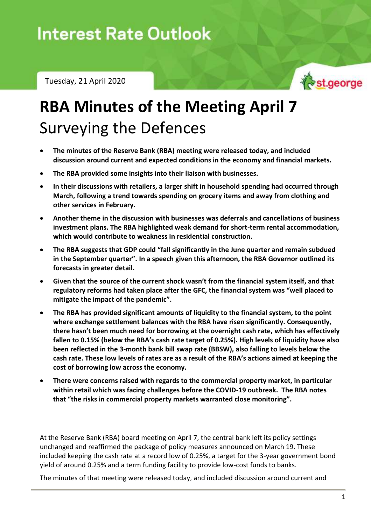Tuesday, 21 April 2020



## **RBA Minutes of the Meeting April 7** Surveying the Defences

- **The minutes of the Reserve Bank (RBA) meeting were released today, and included discussion around current and expected conditions in the economy and financial markets.**
- **The RBA provided some insights into their liaison with businesses.**
- **In their discussions with retailers, a larger shift in household spending had occurred through March, following a trend towards spending on grocery items and away from clothing and other services in February.**
- **Another theme in the discussion with businesses was deferrals and cancellations of business investment plans. The RBA highlighted weak demand for short-term rental accommodation, which would contribute to weakness in residential construction.**
- **The RBA suggests that GDP could "fall significantly in the June quarter and remain subdued in the September quarter". In a speech given this afternoon, the RBA Governor outlined its forecasts in greater detail.**
- **Given that the source of the current shock wasn't from the financial system itself, and that regulatory reforms had taken place after the GFC, the financial system was "well placed to mitigate the impact of the pandemic".**
- **The RBA has provided significant amounts of liquidity to the financial system, to the point where exchange settlement balances with the RBA have risen significantly. Consequently, there hasn't been much need for borrowing at the overnight cash rate, which has effectively fallen to 0.15% (below the RBA's cash rate target of 0.25%). High levels of liquidity have also been reflected in the 3-month bank bill swap rate (BBSW), also falling to levels below the cash rate. These low levels of rates are as a result of the RBA's actions aimed at keeping the cost of borrowing low across the economy.**
- **There were concerns raised with regards to the commercial property market, in particular within retail which was facing challenges before the COVID-19 outbreak. The RBA notes that "the risks in commercial property markets warranted close monitoring".**

At the Reserve Bank (RBA) board meeting on April 7, the central bank left its policy settings unchanged and reaffirmed the package of policy measures announced on March 19. These included keeping the cash rate at a record low of 0.25%, a target for the 3-year government bond yield of around 0.25% and a term funding facility to provide low-cost funds to banks.

The minutes of that meeting were released today, and included discussion around current and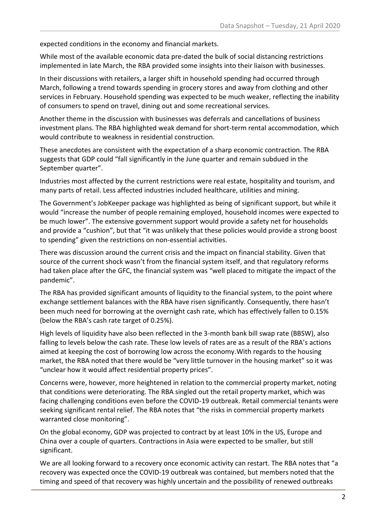expected conditions in the economy and financial markets.

While most of the available economic data pre-dated the bulk of social distancing restrictions implemented in late March, the RBA provided some insights into their liaison with businesses.

In their discussions with retailers, a larger shift in household spending had occurred through March, following a trend towards spending in grocery stores and away from clothing and other services in February. Household spending was expected to be much weaker, reflecting the inability of consumers to spend on travel, dining out and some recreational services.

Another theme in the discussion with businesses was deferrals and cancellations of business investment plans. The RBA highlighted weak demand for short-term rental accommodation, which would contribute to weakness in residential construction.

These anecdotes are consistent with the expectation of a sharp economic contraction. The RBA suggests that GDP could "fall significantly in the June quarter and remain subdued in the September quarter".

Industries most affected by the current restrictions were real estate, hospitality and tourism, and many parts of retail. Less affected industries included healthcare, utilities and mining.

The Government's JobKeeper package was highlighted as being of significant support, but while it would "increase the number of people remaining employed, household incomes were expected to be much lower". The extensive government support would provide a safety net for households and provide a "cushion", but that "it was unlikely that these policies would provide a strong boost to spending" given the restrictions on non-essential activities.

There was discussion around the current crisis and the impact on financial stability. Given that source of the current shock wasn't from the financial system itself, and that regulatory reforms had taken place after the GFC, the financial system was "well placed to mitigate the impact of the pandemic".

The RBA has provided significant amounts of liquidity to the financial system, to the point where exchange settlement balances with the RBA have risen significantly. Consequently, there hasn't been much need for borrowing at the overnight cash rate, which has effectively fallen to 0.15% (below the RBA's cash rate target of 0.25%).

High levels of liquidity have also been reflected in the 3-month bank bill swap rate (BBSW), also falling to levels below the cash rate. These low levels of rates are as a result of the RBA's actions aimed at keeping the cost of borrowing low across the economy.With regards to the housing market, the RBA noted that there would be "very little turnover in the housing market" so it was "unclear how it would affect residential property prices".

Concerns were, however, more heightened in relation to the commercial property market, noting that conditions were deteriorating. The RBA singled out the retail property market, which was facing challenging conditions even before the COVID-19 outbreak. Retail commercial tenants were seeking significant rental relief. The RBA notes that "the risks in commercial property markets warranted close monitoring".

On the global economy, GDP was projected to contract by at least 10% in the US, Europe and China over a couple of quarters. Contractions in Asia were expected to be smaller, but still significant.

We are all looking forward to a recovery once economic activity can restart. The RBA notes that "a recovery was expected once the COVID-19 outbreak was contained, but members noted that the timing and speed of that recovery was highly uncertain and the possibility of renewed outbreaks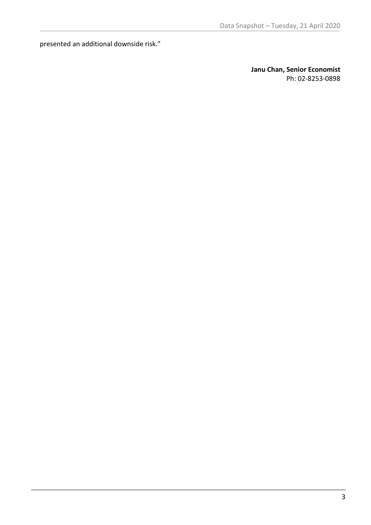presented an additional downside risk."

**Janu Chan, Senior Economist** Ph: 02-8253-0898